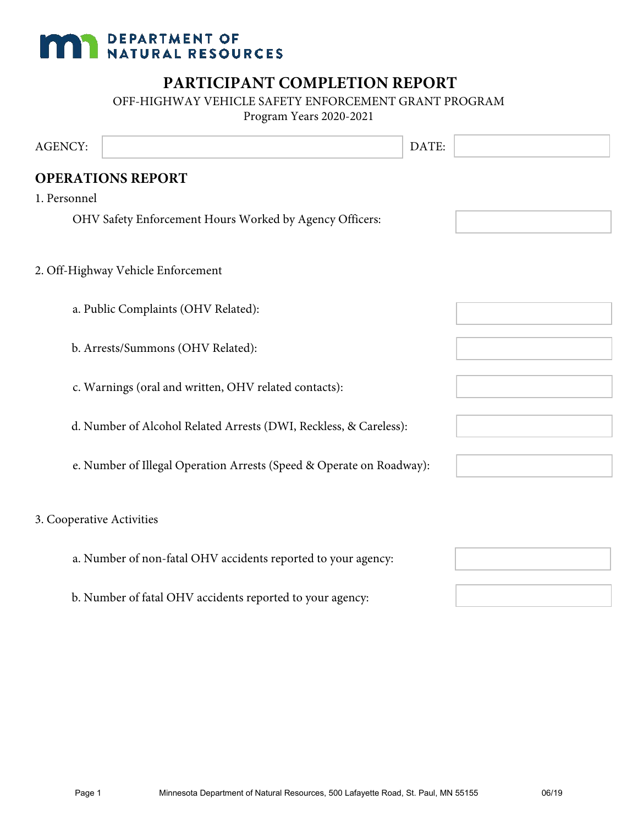# **MAN DEPARTMENT OF NATURAL RESOURCES**

## **PARTICIPANT COMPLETION REPORT**

OFF-HIGHWAY VEHICLE SAFETY ENFORCEMENT GRANT PROGRAM

Program Years 2020-2021

| <b>AGENCY:</b> |                                                                      | DATE: |  |
|----------------|----------------------------------------------------------------------|-------|--|
|                | <b>OPERATIONS REPORT</b>                                             |       |  |
| 1. Personnel   |                                                                      |       |  |
|                | OHV Safety Enforcement Hours Worked by Agency Officers:              |       |  |
|                |                                                                      |       |  |
|                | 2. Off-Highway Vehicle Enforcement                                   |       |  |
|                |                                                                      |       |  |
|                | a. Public Complaints (OHV Related):                                  |       |  |
|                | b. Arrests/Summons (OHV Related):                                    |       |  |
|                |                                                                      |       |  |
|                | c. Warnings (oral and written, OHV related contacts):                |       |  |
|                |                                                                      |       |  |
|                | d. Number of Alcohol Related Arrests (DWI, Reckless, & Careless):    |       |  |
|                | e. Number of Illegal Operation Arrests (Speed & Operate on Roadway): |       |  |
|                |                                                                      |       |  |
|                | 3. Cooperative Activities                                            |       |  |
|                |                                                                      |       |  |
|                | a. Number of non-fatal OHV accidents reported to your agency:        |       |  |
|                | b. Number of fatal OHV accidents reported to your agency:            |       |  |
|                |                                                                      |       |  |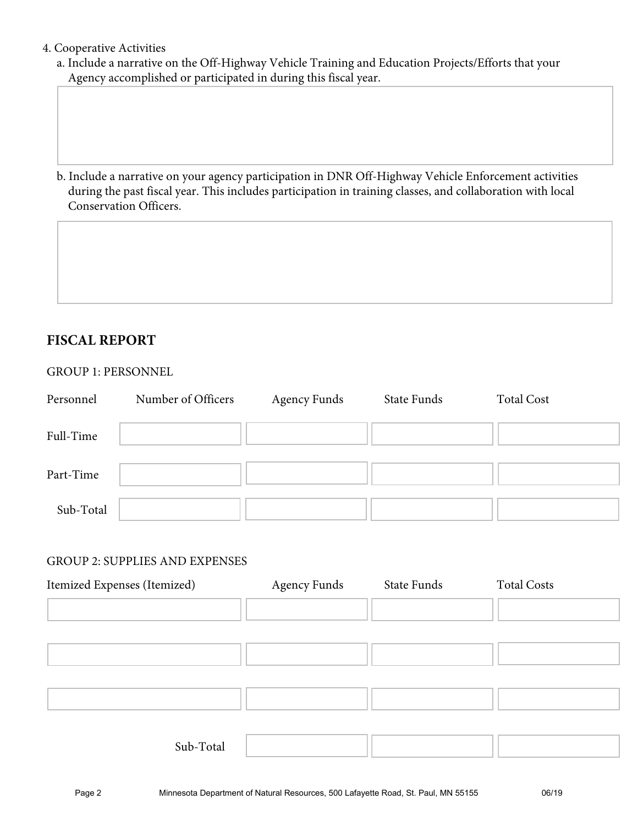#### 4. Cooperative Activities

a. Include a narrative on the Off-Highway Vehicle Training and Education Projects/Efforts that your Agency accomplished or participated in during this fiscal year.

b. Include a narrative on your agency participation in DNR Off-Highway Vehicle Enforcement activities during the past fiscal year. This includes participation in training classes, and collaboration with local Conservation Officers.

### **FISCAL REPORT**

#### GROUP 1: PERSONNEL

| Personnel | Number of Officers | <b>Agency Funds</b> | State Funds | <b>Total Cost</b> |
|-----------|--------------------|---------------------|-------------|-------------------|
| Full-Time |                    |                     |             |                   |
| Part-Time |                    |                     |             |                   |
| Sub-Total |                    |                     |             |                   |

#### GROUP 2: SUPPLIES AND EXPENSES

| Itemized Expenses (Itemized) | <b>Agency Funds</b> | State Funds | <b>Total Costs</b> |
|------------------------------|---------------------|-------------|--------------------|
|                              |                     |             |                    |
|                              |                     |             |                    |
|                              |                     |             |                    |
|                              |                     |             |                    |
| Sub-Total                    |                     |             |                    |